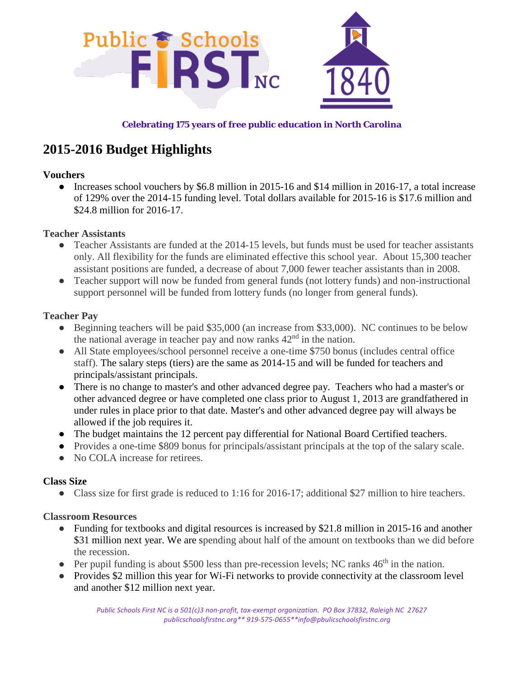

#### **Celebrating 175 years of free public education in North Carolina**

# **2015-2016 Budget Highlights**

#### **Vouchers**

• Increases school vouchers by \$6.8 million in 2015-16 and \$14 million in 2016-17, a total increase of 129% over the 2014-15 funding level. Total dollars available for 2015-16 is \$17.6 million and \$24.8 million for 2016-17.

#### **Teacher Assistants**

- Teacher Assistants are funded at the 2014-15 levels, but funds must be used for teacher assistants only. All flexibility for the funds are eliminated effective this school year. About 15,300 teacher assistant positions are funded, a decrease of about 7,000 fewer teacher assistants than in 2008.
- Teacher support will now be funded from general funds (not lottery funds) and non-instructional support personnel will be funded from lottery funds (no longer from general funds).

#### **Teacher Pay**

- Beginning teachers will be paid \$35,000 (an increase from \$33,000). NC continues to be below the national average in teacher pay and now ranks  $42<sup>nd</sup>$  in the nation.
- All State employees/school personnel receive a one-time \$750 bonus (includes central office staff). The salary steps (tiers) are the same as 2014-15 and will be funded for teachers and principals/assistant principals.
- There is no change to master's and other advanced degree pay. Teachers who had a master's or other advanced degree or have completed one class prior to August 1, 2013 are grandfathered in under rules in place prior to that date. Master's and other advanced degree pay will always be allowed if the job requires it.
- The budget maintains the 12 percent pay differential for National Board Certified teachers.
- Provides a one-time \$809 bonus for principals/assistant principals at the top of the salary scale.
- No COLA increase for retirees.

## **Class Size**

• Class size for first grade is reduced to 1:16 for 2016-17; additional \$27 million to hire teachers.

## **Classroom Resources**

- Funding for textbooks and digital resources is increased by \$21.8 million in 2015-16 and another \$31 million next year. We are spending about half of the amount on textbooks than we did before the recession.
- Per pupil funding is about \$500 less than pre-recession levels; NC ranks  $46<sup>th</sup>$  in the nation.
- Provides \$2 million this year for Wi-Fi networks to provide connectivity at the classroom level and another \$12 million next year.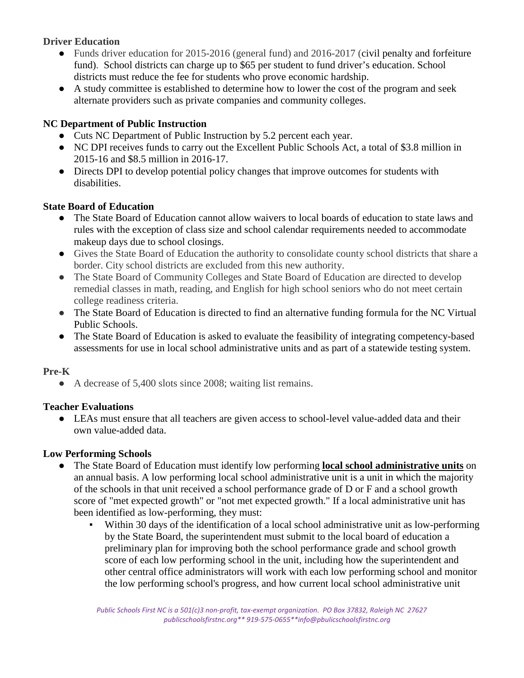## **Driver Education**

- Funds driver education for 2015-2016 (general fund) and 2016-2017 (civil penalty and forfeiture fund). School districts can charge up to \$65 per student to fund driver's education. School districts must reduce the fee for students who prove economic hardship.
- A study committee is established to determine how to lower the cost of the program and seek alternate providers such as private companies and community colleges.

## **NC Department of Public Instruction**

- Cuts NC Department of Public Instruction by 5.2 percent each year.
- NC DPI receives funds to carry out the Excellent Public Schools Act, a total of \$3.8 million in 2015-16 and \$8.5 million in 2016-17.
- Directs DPI to develop potential policy changes that improve outcomes for students with disabilities.

## **State Board of Education**

- The State Board of Education cannot allow waivers to local boards of education to state laws and rules with the exception of class size and school calendar requirements needed to accommodate makeup days due to school closings.
- Gives the State Board of Education the authority to consolidate county school districts that share a border. City school districts are excluded from this new authority.
- The State Board of Community Colleges and State Board of Education are directed to develop remedial classes in math, reading, and English for high school seniors who do not meet certain college readiness criteria.
- The State Board of Education is directed to find an alternative funding formula for the NC Virtual Public Schools.
- The State Board of Education is asked to evaluate the feasibility of integrating competency-based assessments for use in local school administrative units and as part of a statewide testing system.

# **Pre-K**

● A decrease of 5,400 slots since 2008; waiting list remains.

# **Teacher Evaluations**

● LEAs must ensure that all teachers are given access to school-level value-added data and their own value-added data.

## **Low Performing Schools**

- The State Board of Education must identify low performing **local school administrative units** on an annual basis. A low performing local school administrative unit is a unit in which the majority of the schools in that unit received a school performance grade of D or F and a school growth score of "met expected growth" or "not met expected growth." If a local administrative unit has been identified as low-performing, they must:
	- Within 30 days of the identification of a local school administrative unit as low-performing by the State Board, the superintendent must submit to the local board of education a preliminary plan for improving both the school performance grade and school growth score of each low performing school in the unit, including how the superintendent and other central office administrators will work with each low performing school and monitor the low performing school's progress, and how current local school administrative unit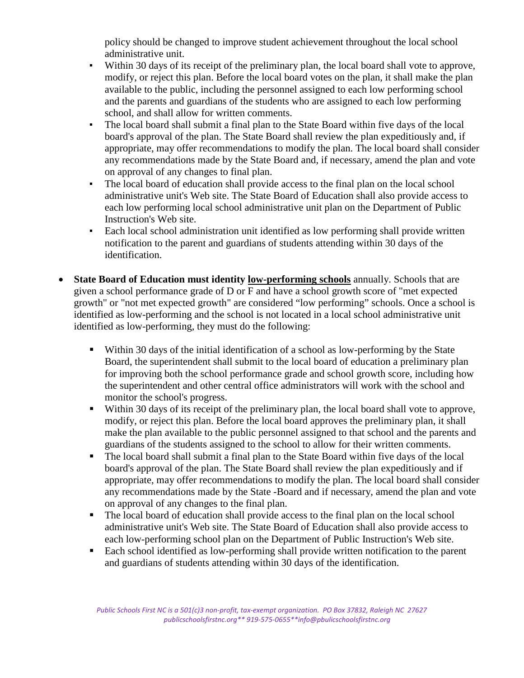policy should be changed to improve student achievement throughout the local school administrative unit.

- Within 30 days of its receipt of the preliminary plan, the local board shall vote to approve, modify, or reject this plan. Before the local board votes on the plan, it shall make the plan available to the public, including the personnel assigned to each low performing school and the parents and guardians of the students who are assigned to each low performing school, and shall allow for written comments.
- The local board shall submit a final plan to the State Board within five days of the local board's approval of the plan. The State Board shall review the plan expeditiously and, if appropriate, may offer recommendations to modify the plan. The local board shall consider any recommendations made by the State Board and, if necessary, amend the plan and vote on approval of any changes to final plan.
- The local board of education shall provide access to the final plan on the local school administrative unit's Web site. The State Board of Education shall also provide access to each low performing local school administrative unit plan on the Department of Public Instruction's Web site.
- Each local school administration unit identified as low performing shall provide written notification to the parent and guardians of students attending within 30 days of the identification.
- **State Board of Education must identity low-performing schools** annually. Schools that are given a school performance grade of D or F and have a school growth score of "met expected growth" or "not met expected growth" are considered "low performing" schools. Once a school is identified as low-performing and the school is not located in a local school administrative unit identified as low-performing, they must do the following:
	- Within 30 days of the initial identification of a school as low-performing by the State Board, the superintendent shall submit to the local board of education a preliminary plan for improving both the school performance grade and school growth score, including how the superintendent and other central office administrators will work with the school and monitor the school's progress.
	- Within 30 days of its receipt of the preliminary plan, the local board shall vote to approve, modify, or reject this plan. Before the local board approves the preliminary plan, it shall make the plan available to the public personnel assigned to that school and the parents and guardians of the students assigned to the school to allow for their written comments.
	- The local board shall submit a final plan to the State Board within five days of the local board's approval of the plan. The State Board shall review the plan expeditiously and if appropriate, may offer recommendations to modify the plan. The local board shall consider any recommendations made by the State -Board and if necessary, amend the plan and vote on approval of any changes to the final plan.
	- The local board of education shall provide access to the final plan on the local school administrative unit's Web site. The State Board of Education shall also provide access to each low-performing school plan on the Department of Public Instruction's Web site.
	- Each school identified as low-performing shall provide written notification to the parent and guardians of students attending within 30 days of the identification.